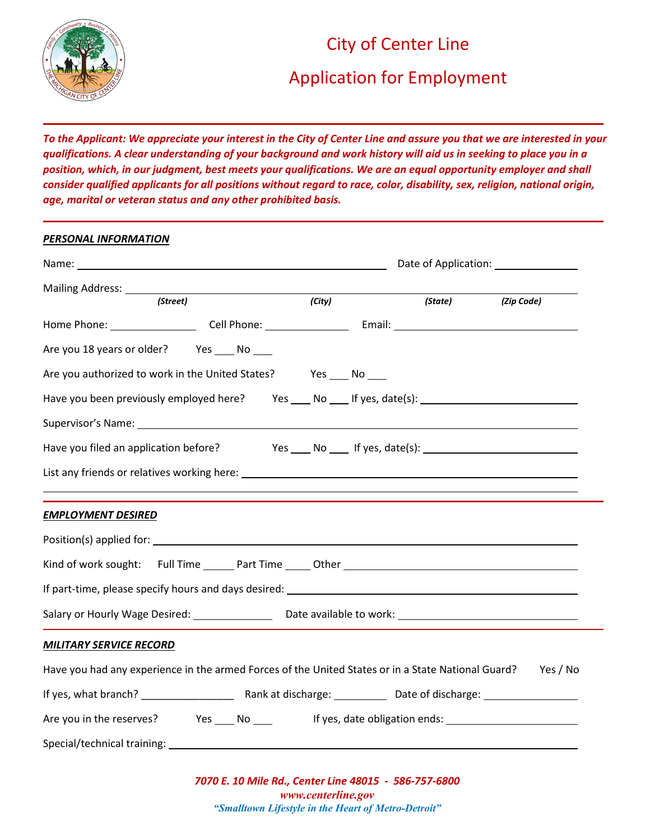

## City of Center Line

# Application for Employment

*To the Applicant: We appreciate your interest in the City of Center Line and assure you that we are interested in your qualifications. A clear understanding of your background and work history will aid us in seeking to place you in a position, which, in our judgment, best meets your qualifications. We are an equal opportunity employer and shall consider qualified applicants for all positions without regard to race, color, disability, sex, religion, national origin, age, marital or veteran status and any other prohibited basis.*

# *PERSONAL INFORMATION* Name: Name: Name of Application: Name of Application: Name of Application: Name of Application: Name of Application: Mailing Address: *(Street) (City) (State) (Zip Code)* Home Phone: Cell Phone: Email: Are you 18 years or older? Yes \_\_\_\_ No \_\_\_\_ Are you authorized to work in the United States? Yes No Have you been previously employed here? Yes \_\_\_ No \_\_\_ If yes, date(s): \_\_\_\_\_\_\_\_\_\_\_\_\_\_\_\_\_\_\_\_\_\_\_\_\_\_\_\_ Supervisor's Name: Have you filed an application before? Yes No If yes, date(s): List any friends or relatives working here: *EMPLOYMENT DESIRED* Position(s) applied for: Kind of work sought: Full Time \_\_\_\_\_\_ Part Time \_\_\_\_\_ Other \_\_\_\_\_\_\_\_\_\_\_\_\_\_\_\_\_\_\_\_\_ If part-time, please specify hours and days desired: Salary or Hourly Wage Desired: Date available to work: *MILITARY SERVICE RECORD* Have you had any experience in the armed Forces of the United States or in a State National Guard? Yes / No If yes, what branch? \_\_\_\_\_\_\_\_\_\_\_\_\_\_\_\_ Rank at discharge: Date of discharge: Are you in the reserves? The Section of North Controllery of the Section Present Are you in the reserves? Special/technical training: The state of the state of the state of the state of the state of the state of the state of the state of the state of the state of the state of the state of the state of the state of the state of

*7070 E. 10 Mile Rd., Center Line 48015 - 586-757-6800 www.centerline.gov "Smalltown Lifestyle in the Heart of Metro-Detroit"*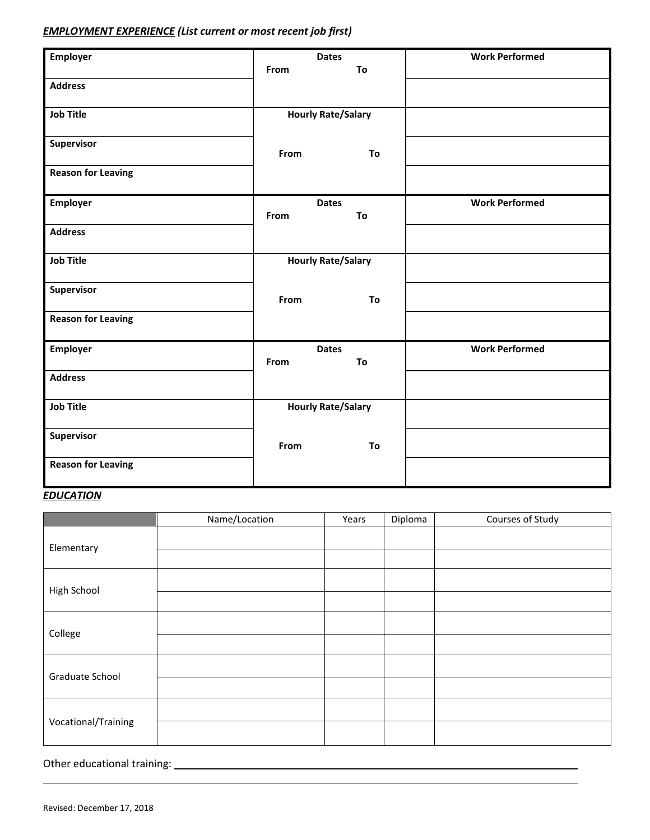### *EMPLOYMENT EXPERIENCE (List current or most recent job first)*

| <b>Employer</b><br><b>Dates</b> |      |                           | <b>Work Performed</b> |
|---------------------------------|------|---------------------------|-----------------------|
|                                 | From | To                        |                       |
| <b>Address</b>                  |      |                           |                       |
| <b>Job Title</b>                |      | <b>Hourly Rate/Salary</b> |                       |
| Supervisor                      | From | To                        |                       |
| <b>Reason for Leaving</b>       |      |                           |                       |
| <b>Employer</b>                 | From | <b>Dates</b><br>To        | <b>Work Performed</b> |
| <b>Address</b>                  |      |                           |                       |
| <b>Job Title</b>                |      | <b>Hourly Rate/Salary</b> |                       |
| Supervisor                      | From | To                        |                       |
| <b>Reason for Leaving</b>       |      |                           |                       |
| <b>Employer</b>                 | From | <b>Dates</b><br>To        | <b>Work Performed</b> |
| <b>Address</b>                  |      |                           |                       |
| <b>Job Title</b>                |      | <b>Hourly Rate/Salary</b> |                       |
| Supervisor                      | From | To                        |                       |
| <b>Reason for Leaving</b>       |      |                           |                       |

## *EDUCATION*

|                     | Name/Location | Years | Diploma | Courses of Study |
|---------------------|---------------|-------|---------|------------------|
| Elementary          |               |       |         |                  |
|                     |               |       |         |                  |
| High School         |               |       |         |                  |
|                     |               |       |         |                  |
| College             |               |       |         |                  |
|                     |               |       |         |                  |
| Graduate School     |               |       |         |                  |
|                     |               |       |         |                  |
| Vocational/Training |               |       |         |                  |
|                     |               |       |         |                  |

Other educational training:

L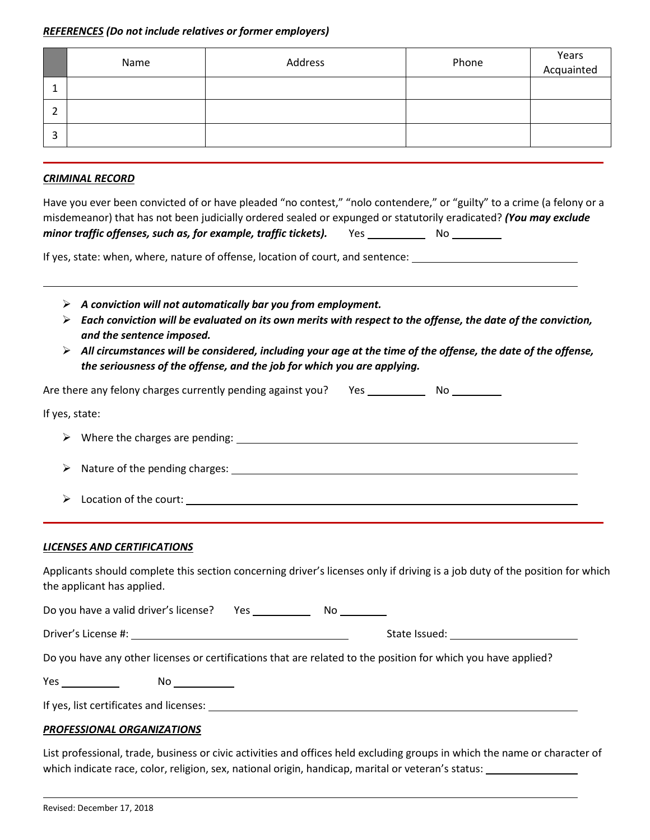#### *REFERENCES (Do not include relatives or former employers)*

|   | Name | Address | Phone | Years<br>Acquainted |
|---|------|---------|-------|---------------------|
|   |      |         |       |                     |
| - |      |         |       |                     |
| 3 |      |         |       |                     |

#### *CRIMINAL RECORD*

| Have you ever been convicted of or have pleaded "no contest," "nolo contendere," or "guilty" to a crime (a felony or a |     |     |
|------------------------------------------------------------------------------------------------------------------------|-----|-----|
| misdemeanor) that has not been judicially ordered sealed or expunged or statutorily eradicated? (You may exclude       |     |     |
| minor traffic offenses, such as, for example, traffic tickets).                                                        | Yes | No. |

If yes, state: when, where, nature of offense, location of court, and sentence:

- *A conviction will not automatically bar you from employment.*
- *Each conviction will be evaluated on its own merits with respect to the offense, the date of the conviction, and the sentence imposed.*
- *All circumstances will be considered, including your age at the time of the offense, the date of the offense, the seriousness of the offense, and the job for which you are applying.*

| Are there any felony charges currently pending against you? Yes |  | N٥ |
|-----------------------------------------------------------------|--|----|
|-----------------------------------------------------------------|--|----|

|  | If yes, state: |
|--|----------------|
|--|----------------|

L

- $\triangleright$  Where the charges are pending:  $\square$
- A Nature of the pending charges: Letter and the set of the pending charges: Letter and the set of the set of the set of the set of the set of the set of the set of the set of the set of the set of the set of the set of the
- Location of the court:

#### *LICENSES AND CERTIFICATIONS*

Applicants should complete this section concerning driver's licenses only if driving is a job duty of the position for which the applicant has applied.

| Do you have a valid driver's license? | Yes. | Nο                                                                                                            |
|---------------------------------------|------|---------------------------------------------------------------------------------------------------------------|
| Driver's License #:                   |      | State Issued:                                                                                                 |
|                                       |      | Do you have any other licenses or certifications that are related to the position for which you have applied? |

| $V_{\Omega}$<br>152<br>- | Νo |
|--------------------------|----|
|                          |    |

If yes, list certificates and licenses:

#### *PROFESSIONAL ORGANIZATIONS*

List professional, trade, business or civic activities and offices held excluding groups in which the name or character of which indicate race, color, religion, sex, national origin, handicap, marital or veteran's status: \_\_\_

L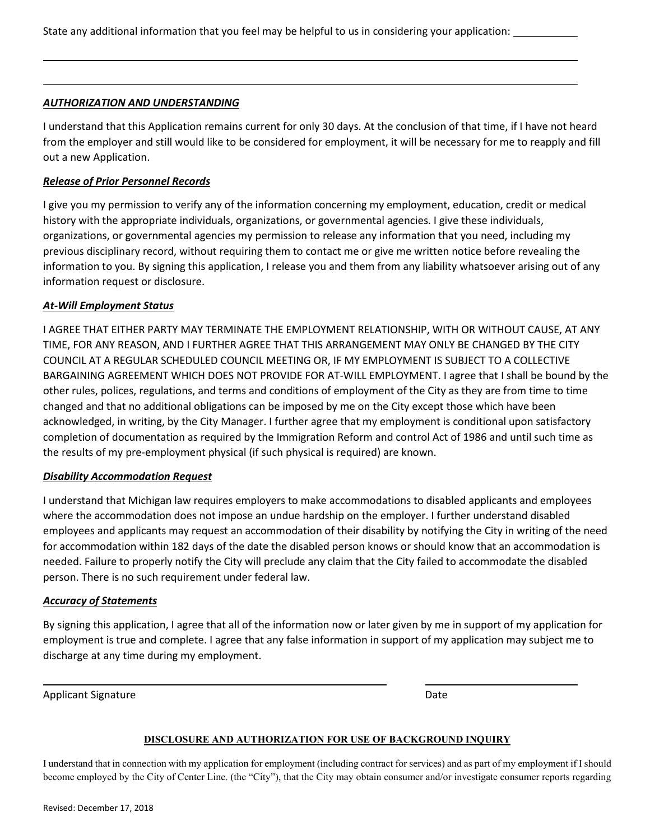State any additional information that you feel may be helpful to us in considering your application:

#### *AUTHORIZATION AND UNDERSTANDING*

L

I understand that this Application remains current for only 30 days. At the conclusion of that time, if I have not heard from the employer and still would like to be considered for employment, it will be necessary for me to reapply and fill out a new Application.

#### *Release of Prior Personnel Records*

I give you my permission to verify any of the information concerning my employment, education, credit or medical history with the appropriate individuals, organizations, or governmental agencies. I give these individuals, organizations, or governmental agencies my permission to release any information that you need, including my previous disciplinary record, without requiring them to contact me or give me written notice before revealing the information to you. By signing this application, I release you and them from any liability whatsoever arising out of any information request or disclosure.

#### *At-Will Employment Status*

I AGREE THAT EITHER PARTY MAY TERMINATE THE EMPLOYMENT RELATIONSHIP, WITH OR WITHOUT CAUSE, AT ANY TIME, FOR ANY REASON, AND I FURTHER AGREE THAT THIS ARRANGEMENT MAY ONLY BE CHANGED BY THE CITY COUNCIL AT A REGULAR SCHEDULED COUNCIL MEETING OR, IF MY EMPLOYMENT IS SUBJECT TO A COLLECTIVE BARGAINING AGREEMENT WHICH DOES NOT PROVIDE FOR AT-WILL EMPLOYMENT. I agree that I shall be bound by the other rules, polices, regulations, and terms and conditions of employment of the City as they are from time to time changed and that no additional obligations can be imposed by me on the City except those which have been acknowledged, in writing, by the City Manager. I further agree that my employment is conditional upon satisfactory completion of documentation as required by the Immigration Reform and control Act of 1986 and until such time as the results of my pre-employment physical (if such physical is required) are known.

#### *Disability Accommodation Request*

I understand that Michigan law requires employers to make accommodations to disabled applicants and employees where the accommodation does not impose an undue hardship on the employer. I further understand disabled employees and applicants may request an accommodation of their disability by notifying the City in writing of the need for accommodation within 182 days of the date the disabled person knows or should know that an accommodation is needed. Failure to properly notify the City will preclude any claim that the City failed to accommodate the disabled person. There is no such requirement under federal law.

#### *Accuracy of Statements*

By signing this application, I agree that all of the information now or later given by me in support of my application for employment is true and complete. I agree that any false information in support of my application may subject me to discharge at any time during my employment.

Applicant Signature **Date** Date of the Date of the Date of the Date of the Date of the Date of the Date of the Date of the Date of the Date of the Date of the Date of the Date of the Date of the Date of the Date of the Dat

L

#### **DISCLOSURE AND AUTHORIZATION FOR USE OF BACKGROUND INQUIRY**

I understand that in connection with my application for employment (including contract for services) and as part of my employment if I should become employed by the City of Center Line. (the "City"), that the City may obtain consumer and/or investigate consumer reports regarding